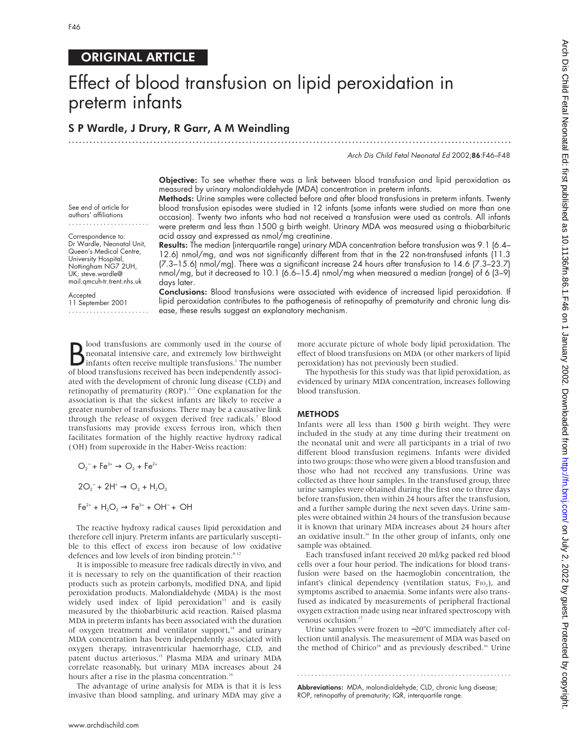# ORIGINAL ARTICLE

# Effect of blood transfusion on lipid peroxidation in preterm infants

.............................................................................................................................

# S P Wardle, J Drury, R Garr, A M Weindling

Arch Dis Child Fetal Neonatal Ed 2002;86:F46–F48

Objective: To see whether there was a link between blood transfusion and lipid peroxidation as measured by urinary malondialdehyde (MDA) concentration in preterm infants.

Methods: Urine samples were collected before and after blood transfusions in preterm infants. Twenty blood transfusion episodes were studied in 12 infants (some infants were studied on more than one occasion). Twenty two infants who had not received a transfusion were used as controls. All infants were preterm and less than 1500 g birth weight. Urinary MDA was measured using a thiobarbituric acid assay and expressed as nmol/mg creatinine.

Results: The median (interquartile range) urinary MDA concentration before transfusion was 9.1 (6.4– 12.6) nmol/mg, and was not significantly different from that in the 22 non-transfused infants (11.3 (7.3–15.6) nmol/mg). There was a significant increase 24 hours after transfusion to 14.6 (7.3–23.7) nmol/mg, but it decreased to 10.1 (6.6–15.4) nmol/mg when measured a median (range) of 6 (3–9) days later.

Accepted 11 September 2001 .......................

See end of article for authors' affiliations

Correspondence to: Dr Wardle, Neonatal Unit, Queen's Medical Centre, University Hospital, Nottingham NG7 2UH, UK; steve.wardle@ mail.qmcuh-tr.trent.nhs.uk

> Conclusions: Blood transfusions were associated with evidence of increased lipid peroxidation. If lipid peroxidation contributes to the pathogenesis of retinopathy of prematurity and chronic lung disease, these results suggest an explanatory mechanism.

**B** lood transfusions are commonly used in the course of neonatal intensive care, and extremely low birthweight infants often receive multiple transfusions.<sup>1</sup> The number of blood transfusions received has been independent lood transfusions are commonly used in the course of neonatal intensive care, and extremely low birthweight infants often receive multiple transfusions.<sup>1</sup> The number ated with the development of chronic lung disease (CLD) and retinopathy of prematurity (ROP). $2-7$  One explanation for the association is that the sickest infants are likely to receive a greater number of transfusions. There may be a causative link through the release of oxygen derived free radicals.<sup>7</sup> Blood transfusions may provide excess ferrous iron, which then facilitates formation of the highly reactive hydroxy radical ( **.** OH) from superoxide in the Haber-Weiss reaction:

$$
O_2^- + Fe^{3+} \to O_2 + Fe^{2+}
$$

$$
2O_2^- + 2H^* \to O_2 + H_2O_2
$$

 $\mathsf{Fe}^{2+} + \mathsf{H}_2\mathsf{O}_2 \rightarrow \mathsf{Fe}^{3+} + \mathsf{OH}^- + \mathsf{OH}$ 

The reactive hydroxy radical causes lipid peroxidation and therefore cell injury. Preterm infants are particularly susceptible to this effect of excess iron because of low oxidative defences and low levels of iron binding protein.<sup>8-12</sup>

It is impossible to measure free radicals directly in vivo, and it is necessary to rely on the quantification of their reaction products such as protein carbonyls, modified DNA, and lipid peroxidation products. Malondialdehyde (MDA) is the most widely used index of lipid peroxidation<sup>13</sup> and is easily measured by the thiobarbituric acid reaction. Raised plasma MDA in preterm infants has been associated with the duration of oxygen treatment and ventilator support,<sup>14</sup> and urinary MDA concentration has been independently associated with oxygen therapy, intraventricular haemorrhage, CLD, and patent ductus arteriosus.15 Plasma MDA and urinary MDA correlate reasonably, but urinary MDA increases about 24 hours after a rise in the plasma concentration.<sup>16</sup>

The advantage of urine analysis for MDA is that it is less invasive than blood sampling, and urinary MDA may give a more accurate picture of whole body lipid peroxidation. The effect of blood transfusions on MDA (or other markers of lipid peroxidation) has not previously been studied.

The hypothesis for this study was that lipid peroxidation, as evidenced by urinary MDA concentration, increases following blood transfusion.

#### **METHODS**

Infants were all less than 1500 g birth weight. They were included in the study at any time during their treatment on the neonatal unit and were all participants in a trial of two different blood transfusion regimens. Infants were divided into two groups: those who were given a blood transfusion and those who had not received any transfusions. Urine was collected as three hour samples. In the transfused group, three urine samples were obtained during the first one to three days before transfusion, then within 24 hours after the transfusion, and a further sample during the next seven days. Urine samples were obtained within 24 hours of the transfusion because it is known that urinary MDA increases about 24 hours after an oxidative insult.<sup>16</sup> In the other group of infants, only one sample was obtained.

Each transfused infant received 20 ml/kg packed red blood cells over a four hour period. The indications for blood transfusion were based on the haemoglobin concentration, the infant's clinical dependency (ventilation status, F<sub>IO2</sub>), and symptoms ascribed to anaemia. Some infants were also transfused as indicated by measurements of peripheral fractional oxygen extraction made using near infrared spectroscopy with venous occlusion.<sup>17</sup>

Urine samples were frozen to −20°C immediately after collection until analysis. The measurement of MDA was based on the method of Chirico<sup>18</sup> and as previously described.<sup>16</sup> Urine

.............................................................

Abbreviations: MDA, malondialdehyde; CLD, chronic lung disease; ROP, retinopathy of prematurity; IQR, interquartile range.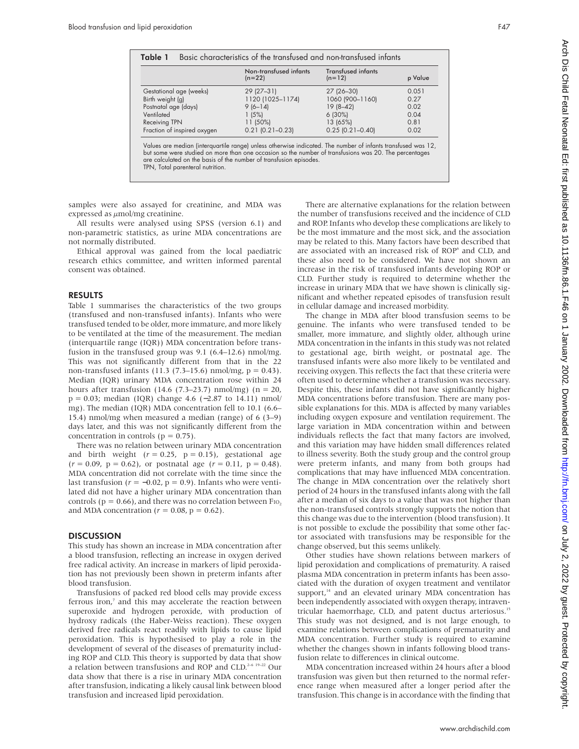|                             | Non-transfused infants<br>$(n=22)$ | <b>Transfused infants</b><br>$(n=12)$ | p Value |
|-----------------------------|------------------------------------|---------------------------------------|---------|
| Gestational age (weeks)     | 29 (27-31)                         | 27 (26-30)                            | 0.051   |
| Birth weight (g)            | 1120 (1025-1174)                   | 1060 (900-1160)                       | 0.27    |
| Postnatal age (days)        | $9(6-14)$                          | $19(8-42)$                            | 0.02    |
| Ventilated                  | 1(5%)                              | $6(30\%)$                             | 0.04    |
| Receiving TPN               | 11 (50%)                           | 13 (65%)                              | 0.81    |
| Fraction of inspired oxygen | $0.21$ $(0.21 - 0.23)$             | $0.25$ $(0.21 - 0.40)$                | 0.02    |

but some were studied on more than one occasion so the number of transfusions was 20. The percentages are calculated on the basis of the number of transfusion episodes. TPN, Total parenteral nutrition.

samples were also assayed for creatinine, and MDA was expressed as  $\mu$ mol/mg creatinine.

All results were analysed using SPSS (version 6.1) and non-parametric statistics, as urine MDA concentrations are not normally distributed.

Ethical approval was gained from the local paediatric research ethics committee, and written informed parental consent was obtained.

## RESULTS

Table 1 summarises the characteristics of the two groups (transfused and non-transfused infants). Infants who were transfused tended to be older, more immature, and more likely to be ventilated at the time of the measurement. The median (interquartile range (IQR)) MDA concentration before transfusion in the transfused group was 9.1 (6.4–12.6) nmol/mg. This was not significantly different from that in the 22 non-transfused infants (11.3 (7.3–15.6) nmol/mg,  $p = 0.43$ ). Median (IQR) urinary MDA concentration rose within 24 hours after transfusion (14.6 (7.3–23.7) nmol/mg) ( $n = 20$ , p = 0.03; median (IQR) change 4.6 (−2.87 to 14.11) nmol/ mg). The median (IQR) MDA concentration fell to 10.1 (6.6– 15.4) nmol/mg when measured a median (range) of 6 (3–9) days later, and this was not significantly different from the concentration in controls ( $p = 0.75$ ).

There was no relation between urinary MDA concentration and birth weight  $(r = 0.25, p = 0.15)$ , gestational age  $(r = 0.09, p = 0.62)$ , or postnatal age  $(r = 0.11, p = 0.48)$ . MDA concentration did not correlate with the time since the last transfusion ( $r = -0.02$ ,  $p = 0.9$ ). Infants who were ventilated did not have a higher urinary MDA concentration than controls ( $p = 0.66$ ), and there was no correlation between F<sub>IO</sub>. and MDA concentration ( $r = 0.08$ ,  $p = 0.62$ ).

### **DISCUSSION**

This study has shown an increase in MDA concentration after a blood transfusion, reflecting an increase in oxygen derived free radical activity. An increase in markers of lipid peroxidation has not previously been shown in preterm infants after blood transfusion.

Transfusions of packed red blood cells may provide excess ferrous iron,<sup>7</sup> and this may accelerate the reaction between superoxide and hydrogen peroxide, with production of hydroxy radicals (the Haber-Weiss reaction). These oxygen derived free radicals react readily with lipids to cause lipid peroxidation. This is hypothesised to play a role in the development of several of the diseases of prematurity including ROP and CLD. This theory is supported by data that show a relation between transfusions and ROP and CLD.<sup>2-6 19-22</sup> Our data show that there is a rise in urinary MDA concentration after transfusion, indicating a likely causal link between blood transfusion and increased lipid peroxidation.

There are alternative explanations for the relation between the number of transfusions received and the incidence of CLD and ROP. Infants who develop these complications are likely to be the most immature and the most sick, and the association may be related to this. Many factors have been described that are associated with an increased risk of ROP<sup>6</sup> and CLD, and these also need to be considered. We have not shown an increase in the risk of transfused infants developing ROP or CLD. Further study is required to determine whether the increase in urinary MDA that we have shown is clinically significant and whether repeated episodes of transfusion result in cellular damage and increased morbidity.

The change in MDA after blood transfusion seems to be genuine. The infants who were transfused tended to be smaller, more immature, and slightly older, although urine MDA concentration in the infants in this study was not related to gestational age, birth weight, or postnatal age. The transfused infants were also more likely to be ventilated and receiving oxygen. This reflects the fact that these criteria were often used to determine whether a transfusion was necessary. Despite this, these infants did not have significantly higher MDA concentrations before transfusion. There are many possible explanations for this. MDA is affected by many variables including oxygen exposure and ventilation requirement. The large variation in MDA concentration within and between individuals reflects the fact that many factors are involved, and this variation may have hidden small differences related to illness severity. Both the study group and the control group were preterm infants, and many from both groups had complications that may have influenced MDA concentration. The change in MDA concentration over the relatively short period of 24 hours in the transfused infants along with the fall after a median of six days to a value that was not higher than the non-transfused controls strongly supports the notion that this change was due to the intervention (blood transfusion). It is not possible to exclude the possibility that some other factor associated with transfusions may be responsible for the change observed, but this seems unlikely.

Other studies have shown relations between markers of lipid peroxidation and complications of prematurity. A raised plasma MDA concentration in preterm infants has been associated with the duration of oxygen treatment and ventilator support,<sup>14</sup> and an elevated urinary MDA concentration has been independently associated with oxygen therapy, intraventricular haemorrhage, CLD, and patent ductus arteriosus.15 This study was not designed, and is not large enough, to examine relations between complications of prematurity and MDA concentration. Further study is required to examine whether the changes shown in infants following blood transfusion relate to differences in clinical outcome.

MDA concentration increased within 24 hours after a blood transfusion was given but then returned to the normal reference range when measured after a longer period after the transfusion. This change is in accordance with the finding that